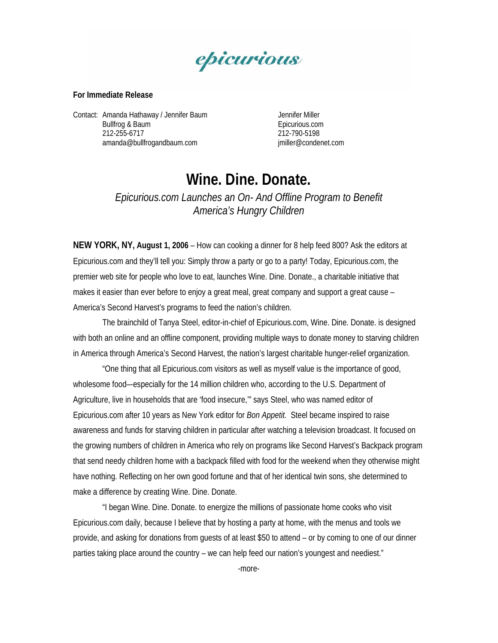

## **For Immediate Release**

Contact: Amanda Hathaway / Jennifer Baum Jennifer Miller Bullfrog & Baum **Epicurious.com**  212-255-6717 212-790-5198 [amanda@bullfrogandbaum.com](mailto:amanda@bullfrogandbaum.com) imiller@condenet.com

## **Wine. Dine. Donate.**

*Epicurious.com Launches an On- And Offline Program to Benefit America's Hungry Children* 

**NEW YORK, NY, August 1, 2006** – How can cooking a dinner for 8 help feed 800? Ask the editors at Epicurious.com and they'll tell you: Simply throw a party or go to a party! Today, Epicurious.com, the premier web site for people who love to eat, launches Wine. Dine. Donate., a charitable initiative that makes it easier than ever before to enjoy a great meal, great company and support a great cause – America's Second Harvest's programs to feed the nation's children.

The brainchild of Tanya Steel, editor-in-chief of Epicurious.com, Wine. Dine. Donate. is designed with both an online and an offline component, providing multiple ways to donate money to starving children in America through America's Second Harvest, the nation's largest charitable hunger-relief organization.

"One thing that all Epicurious.com visitors as well as myself value is the importance of good, wholesome food–-especially for the 14 million children who, according to the U.S. Department of Agriculture, live in households that are 'food insecure,'" says Steel, who was named editor of Epicurious.com after 10 years as New York editor for *Bon Appetit.* Steel became inspired to raise awareness and funds for starving children in particular after watching a television broadcast. It focused on the growing numbers of children in America who rely on programs like Second Harvest's Backpack program that send needy children home with a backpack filled with food for the weekend when they otherwise might have nothing. Reflecting on her own good fortune and that of her identical twin sons, she determined to make a difference by creating Wine. Dine. Donate.

"I began Wine. Dine. Donate. to energize the millions of passionate home cooks who visit Epicurious.com daily, because I believe that by hosting a party at home, with the menus and tools we provide, and asking for donations from guests of at least \$50 to attend – or by coming to one of our dinner parties taking place around the country – we can help feed our nation's youngest and neediest."

-more-